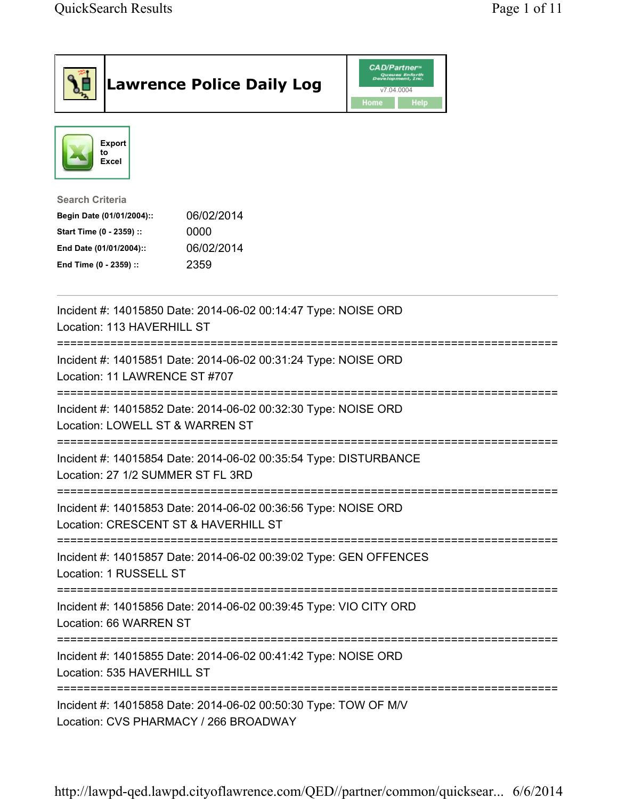|                                                                                                                                      | <b>Lawrence Police Daily Log</b>                                  | <b>CAD/Partner</b> "<br>Queues Enforth<br>Development, Inc.<br>v7.04.0004<br>Home<br>Help |  |
|--------------------------------------------------------------------------------------------------------------------------------------|-------------------------------------------------------------------|-------------------------------------------------------------------------------------------|--|
| <b>Export</b><br>to<br>Excel                                                                                                         |                                                                   |                                                                                           |  |
| <b>Search Criteria</b><br>Begin Date (01/01/2004)::<br>Start Time (0 - 2359) ::<br>End Date (01/01/2004)::<br>End Time (0 - 2359) :: | 06/02/2014<br>0000<br>06/02/2014<br>2359                          |                                                                                           |  |
| Location: 113 HAVERHILL ST                                                                                                           | Incident #: 14015850 Date: 2014-06-02 00:14:47 Type: NOISE ORD    |                                                                                           |  |
| Location: 11 LAWRENCE ST #707                                                                                                        | Incident #: 14015851 Date: 2014-06-02 00:31:24 Type: NOISE ORD    |                                                                                           |  |
| Location: LOWELL ST & WARREN ST                                                                                                      | Incident #: 14015852 Date: 2014-06-02 00:32:30 Type: NOISE ORD    |                                                                                           |  |
| Location: 27 1/2 SUMMER ST FL 3RD                                                                                                    | Incident #: 14015854 Date: 2014-06-02 00:35:54 Type: DISTURBANCE  |                                                                                           |  |
| Location: CRESCENT ST & HAVERHILL ST                                                                                                 | Incident #: 14015853 Date: 2014-06-02 00:36:56 Type: NOISE ORD    |                                                                                           |  |
| ;=================================<br>Location: 1 RUSSELL ST                                                                         | Incident #: 14015857 Date: 2014-06-02 00:39:02 Type: GEN OFFENCES |                                                                                           |  |
| Location: 66 WARREN ST                                                                                                               | Incident #: 14015856 Date: 2014-06-02 00:39:45 Type: VIO CITY ORD |                                                                                           |  |
| Incident #: 14015855 Date: 2014-06-02 00:41:42 Type: NOISE ORD<br>Location: 535 HAVERHILL ST                                         |                                                                   |                                                                                           |  |
| ============================<br>Location: CVS PHARMACY / 266 BROADWAY                                                                | Incident #: 14015858 Date: 2014-06-02 00:50:30 Type: TOW OF M/V   |                                                                                           |  |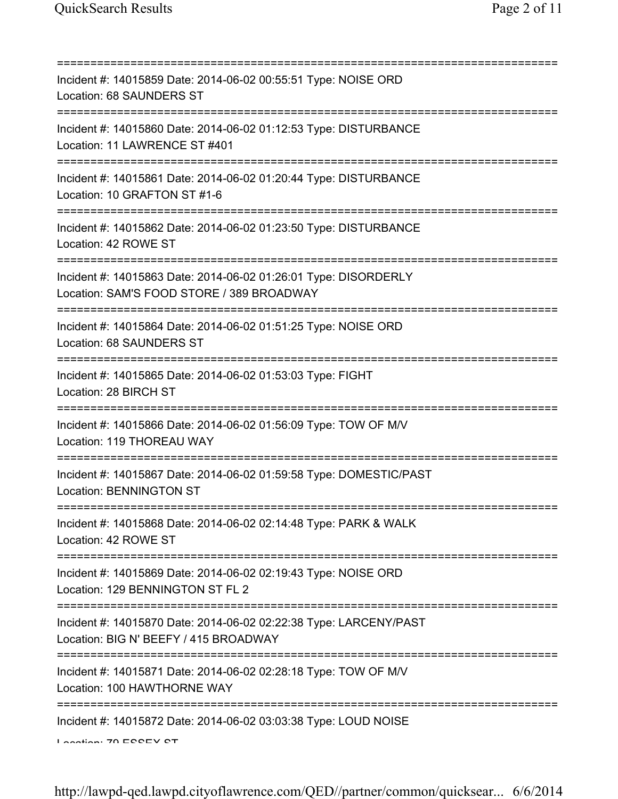| Incident #: 14015859 Date: 2014-06-02 00:55:51 Type: NOISE ORD<br>Location: 68 SAUNDERS ST                                             |
|----------------------------------------------------------------------------------------------------------------------------------------|
| Incident #: 14015860 Date: 2014-06-02 01:12:53 Type: DISTURBANCE<br>Location: 11 LAWRENCE ST #401                                      |
| Incident #: 14015861 Date: 2014-06-02 01:20:44 Type: DISTURBANCE<br>Location: 10 GRAFTON ST #1-6<br>========================           |
| Incident #: 14015862 Date: 2014-06-02 01:23:50 Type: DISTURBANCE<br>Location: 42 ROWE ST                                               |
| Incident #: 14015863 Date: 2014-06-02 01:26:01 Type: DISORDERLY<br>Location: SAM'S FOOD STORE / 389 BROADWAY                           |
| Incident #: 14015864 Date: 2014-06-02 01:51:25 Type: NOISE ORD<br>Location: 68 SAUNDERS ST                                             |
| Incident #: 14015865 Date: 2014-06-02 01:53:03 Type: FIGHT<br>Location: 28 BIRCH ST                                                    |
| Incident #: 14015866 Date: 2014-06-02 01:56:09 Type: TOW OF M/V<br>Location: 119 THOREAU WAY                                           |
| Incident #: 14015867 Date: 2014-06-02 01:59:58 Type: DOMESTIC/PAST<br>Location: BENNINGTON ST                                          |
| Incident #: 14015868 Date: 2014-06-02 02:14:48 Type: PARK & WALK<br>Location: 42 ROWE ST                                               |
| Incident #: 14015869 Date: 2014-06-02 02:19:43 Type: NOISE ORD<br>Location: 129 BENNINGTON ST FL 2                                     |
| Incident #: 14015870 Date: 2014-06-02 02:22:38 Type: LARCENY/PAST<br>Location: BIG N' BEEFY / 415 BROADWAY                             |
| ====================================<br>Incident #: 14015871 Date: 2014-06-02 02:28:18 Type: TOW OF M/V<br>Location: 100 HAWTHORNE WAY |
| Incident #: 14015872 Date: 2014-06-02 03:03:38 Type: LOUD NOISE<br>Landian: 70 ECCEV CT                                                |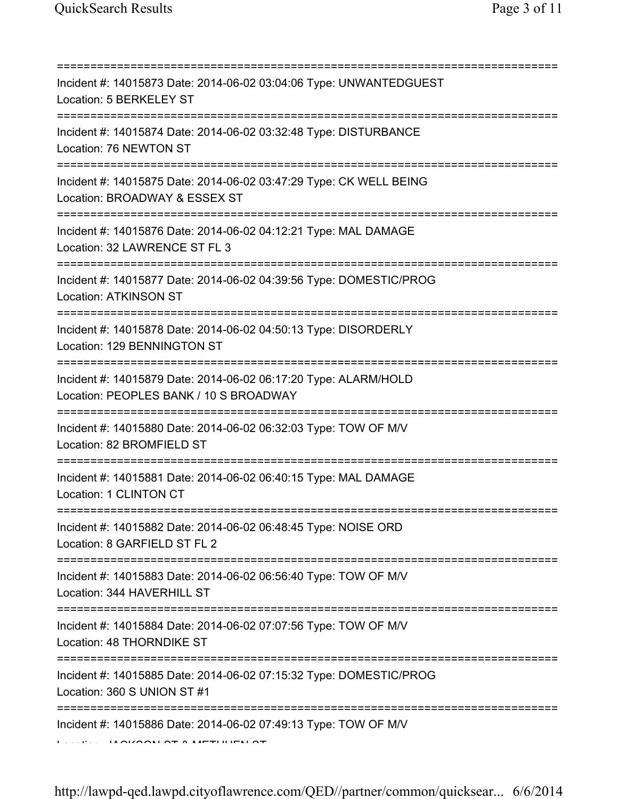| Incident #: 14015873 Date: 2014-06-02 03:04:06 Type: UNWANTEDGUEST<br>Location: 5 BERKELEY ST                                         |
|---------------------------------------------------------------------------------------------------------------------------------------|
| Incident #: 14015874 Date: 2014-06-02 03:32:48 Type: DISTURBANCE<br>Location: 76 NEWTON ST                                            |
| Incident #: 14015875 Date: 2014-06-02 03:47:29 Type: CK WELL BEING<br>Location: BROADWAY & ESSEX ST                                   |
| Incident #: 14015876 Date: 2014-06-02 04:12:21 Type: MAL DAMAGE<br>Location: 32 LAWRENCE ST FL 3                                      |
| Incident #: 14015877 Date: 2014-06-02 04:39:56 Type: DOMESTIC/PROG<br><b>Location: ATKINSON ST</b>                                    |
| Incident #: 14015878 Date: 2014-06-02 04:50:13 Type: DISORDERLY<br>Location: 129 BENNINGTON ST                                        |
| Incident #: 14015879 Date: 2014-06-02 06:17:20 Type: ALARM/HOLD<br>Location: PEOPLES BANK / 10 S BROADWAY                             |
| Incident #: 14015880 Date: 2014-06-02 06:32:03 Type: TOW OF M/V<br>Location: 82 BROMFIELD ST                                          |
| Incident #: 14015881 Date: 2014-06-02 06:40:15 Type: MAL DAMAGE<br>Location: 1 CLINTON CT                                             |
| Incident #: 14015882 Date: 2014-06-02 06:48:45 Type: NOISE ORD<br>Location: 8 GARFIELD ST FL 2                                        |
| ====================================<br>Incident #: 14015883 Date: 2014-06-02 06:56:40 Type: TOW OF M/V<br>Location: 344 HAVERHILL ST |
| ;==================================<br>Incident #: 14015884 Date: 2014-06-02 07:07:56 Type: TOW OF M/V<br>Location: 48 THORNDIKE ST   |
| Incident #: 14015885 Date: 2014-06-02 07:15:32 Type: DOMESTIC/PROG<br>Location: 360 S UNION ST #1                                     |
| Incident #: 14015886 Date: 2014-06-02 07:49:13 Type: TOW OF M/V<br>$\overline{11}$                                                    |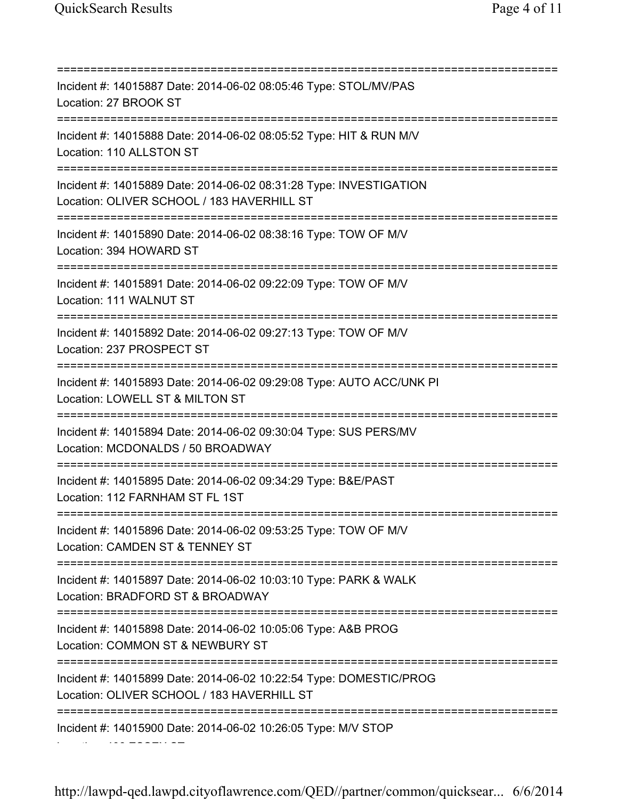Location: 406 ESSEX ST

=========================================================================== Incident #: 14015887 Date: 2014-06-02 08:05:46 Type: STOL/MV/PAS Location: 27 BROOK ST =========================================================================== Incident #: 14015888 Date: 2014-06-02 08:05:52 Type: HIT & RUN M/V Location: 110 ALLSTON ST =========================================================================== Incident #: 14015889 Date: 2014-06-02 08:31:28 Type: INVESTIGATION Location: OLIVER SCHOOL / 183 HAVERHILL ST =========================================================================== Incident #: 14015890 Date: 2014-06-02 08:38:16 Type: TOW OF M/V Location: 394 HOWARD ST =========================================================================== Incident #: 14015891 Date: 2014-06-02 09:22:09 Type: TOW OF M/V Location: 111 WALNUT ST =========================================================================== Incident #: 14015892 Date: 2014-06-02 09:27:13 Type: TOW OF M/V Location: 237 PROSPECT ST =========================================================================== Incident #: 14015893 Date: 2014-06-02 09:29:08 Type: AUTO ACC/UNK PI Location: LOWELL ST & MILTON ST =========================================================================== Incident #: 14015894 Date: 2014-06-02 09:30:04 Type: SUS PERS/MV Location: MCDONALDS / 50 BROADWAY =========================================================================== Incident #: 14015895 Date: 2014-06-02 09:34:29 Type: B&E/PAST Location: 112 FARNHAM ST FL 1ST =========================================================================== Incident #: 14015896 Date: 2014-06-02 09:53:25 Type: TOW OF M/V Location: CAMDEN ST & TENNEY ST =========================================================================== Incident #: 14015897 Date: 2014-06-02 10:03:10 Type: PARK & WALK Location: BRADFORD ST & BROADWAY =========================================================================== Incident #: 14015898 Date: 2014-06-02 10:05:06 Type: A&B PROG Location: COMMON ST & NEWBURY ST =========================================================================== Incident #: 14015899 Date: 2014-06-02 10:22:54 Type: DOMESTIC/PROG Location: OLIVER SCHOOL / 183 HAVERHILL ST =========================================================================== Incident #: 14015900 Date: 2014-06-02 10:26:05 Type: M/V STOP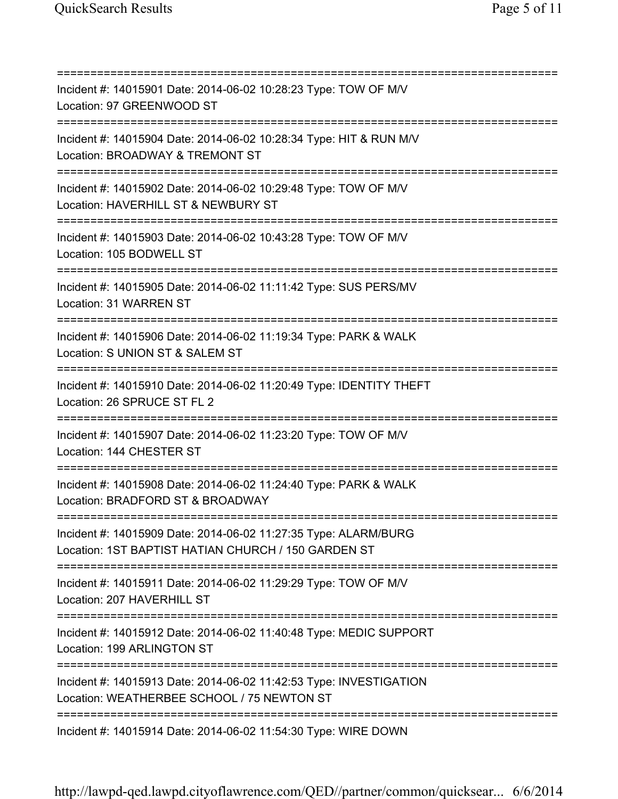=========================================================================== Incident #: 14015901 Date: 2014-06-02 10:28:23 Type: TOW OF M/V Location: 97 GREENWOOD ST =========================================================================== Incident #: 14015904 Date: 2014-06-02 10:28:34 Type: HIT & RUN M/V Location: BROADWAY & TREMONT ST =========================================================================== Incident #: 14015902 Date: 2014-06-02 10:29:48 Type: TOW OF M/V Location: HAVERHILL ST & NEWBURY ST =========================================================================== Incident #: 14015903 Date: 2014-06-02 10:43:28 Type: TOW OF M/V Location: 105 BODWELL ST =========================================================================== Incident #: 14015905 Date: 2014-06-02 11:11:42 Type: SUS PERS/MV Location: 31 WARREN ST =========================================================================== Incident #: 14015906 Date: 2014-06-02 11:19:34 Type: PARK & WALK Location: S UNION ST & SALEM ST =========================================================================== Incident #: 14015910 Date: 2014-06-02 11:20:49 Type: IDENTITY THEFT Location: 26 SPRUCE ST FL 2 =========================================================================== Incident #: 14015907 Date: 2014-06-02 11:23:20 Type: TOW OF M/V Location: 144 CHESTER ST =========================================================================== Incident #: 14015908 Date: 2014-06-02 11:24:40 Type: PARK & WALK Location: BRADFORD ST & BROADWAY =========================================================================== Incident #: 14015909 Date: 2014-06-02 11:27:35 Type: ALARM/BURG Location: 1ST BAPTIST HATIAN CHURCH / 150 GARDEN ST =========================================================================== Incident #: 14015911 Date: 2014-06-02 11:29:29 Type: TOW OF M/V Location: 207 HAVERHILL ST =========================================================================== Incident #: 14015912 Date: 2014-06-02 11:40:48 Type: MEDIC SUPPORT Location: 199 ARLINGTON ST =========================================================================== Incident #: 14015913 Date: 2014-06-02 11:42:53 Type: INVESTIGATION Location: WEATHERBEE SCHOOL / 75 NEWTON ST =========================================================================== Incident #: 14015914 Date: 2014-06-02 11:54:30 Type: WIRE DOWN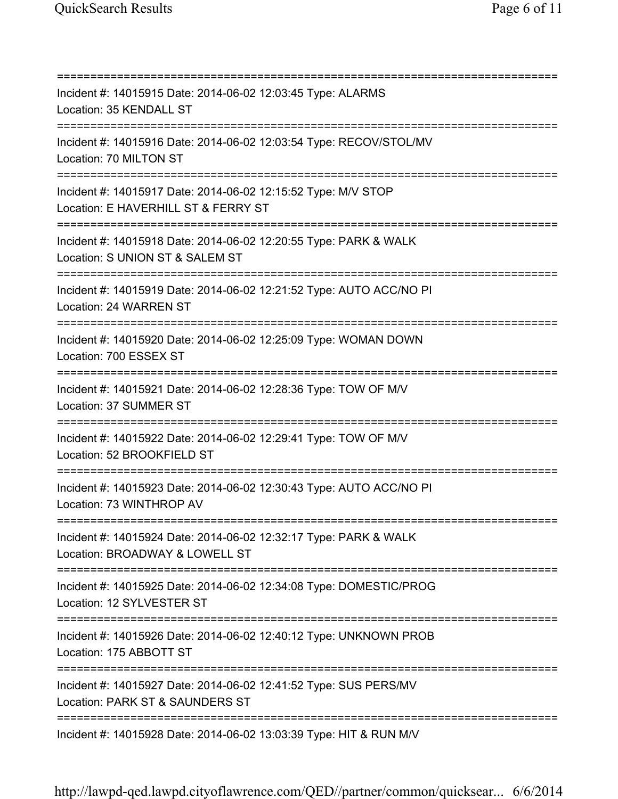=========================================================================== Incident #: 14015915 Date: 2014-06-02 12:03:45 Type: ALARMS Location: 35 KENDALL ST =========================================================================== Incident #: 14015916 Date: 2014-06-02 12:03:54 Type: RECOV/STOL/MV Location: 70 MILTON ST =========================================================================== Incident #: 14015917 Date: 2014-06-02 12:15:52 Type: M/V STOP Location: E HAVERHILL ST & FERRY ST =========================================================================== Incident #: 14015918 Date: 2014-06-02 12:20:55 Type: PARK & WALK Location: S UNION ST & SALEM ST =========================================================================== Incident #: 14015919 Date: 2014-06-02 12:21:52 Type: AUTO ACC/NO PI Location: 24 WARREN ST =========================================================================== Incident #: 14015920 Date: 2014-06-02 12:25:09 Type: WOMAN DOWN Location: 700 ESSEX ST =========================================================================== Incident #: 14015921 Date: 2014-06-02 12:28:36 Type: TOW OF M/V Location: 37 SUMMER ST =========================================================================== Incident #: 14015922 Date: 2014-06-02 12:29:41 Type: TOW OF M/V Location: 52 BROOKFIELD ST =========================================================================== Incident #: 14015923 Date: 2014-06-02 12:30:43 Type: AUTO ACC/NO PI Location: 73 WINTHROP AV =========================================================================== Incident #: 14015924 Date: 2014-06-02 12:32:17 Type: PARK & WALK Location: BROADWAY & LOWELL ST =========================================================================== Incident #: 14015925 Date: 2014-06-02 12:34:08 Type: DOMESTIC/PROG Location: 12 SYLVESTER ST =========================================================================== Incident #: 14015926 Date: 2014-06-02 12:40:12 Type: UNKNOWN PROB Location: 175 ABBOTT ST =========================================================================== Incident #: 14015927 Date: 2014-06-02 12:41:52 Type: SUS PERS/MV Location: PARK ST & SAUNDERS ST =========================================================================== Incident #: 14015928 Date: 2014-06-02 13:03:39 Type: HIT & RUN M/V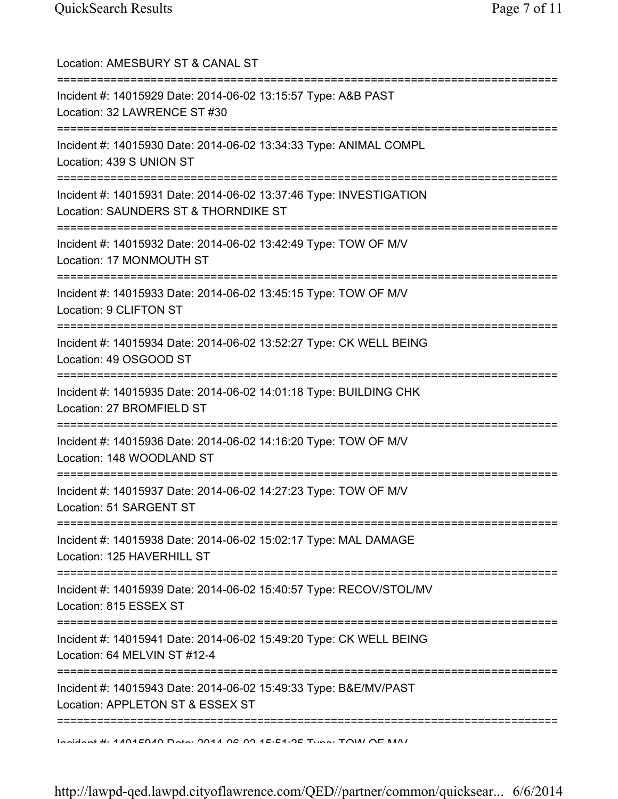| Location: AMESBURY ST & CANAL ST<br>-----------------------                                                                            |
|----------------------------------------------------------------------------------------------------------------------------------------|
| Incident #: 14015929 Date: 2014-06-02 13:15:57 Type: A&B PAST<br>Location: 32 LAWRENCE ST #30                                          |
| Incident #: 14015930 Date: 2014-06-02 13:34:33 Type: ANIMAL COMPL<br>Location: 439 S UNION ST<br>===================================== |
| Incident #: 14015931 Date: 2014-06-02 13:37:46 Type: INVESTIGATION<br>Location: SAUNDERS ST & THORNDIKE ST                             |
| Incident #: 14015932 Date: 2014-06-02 13:42:49 Type: TOW OF M/V<br>Location: 17 MONMOUTH ST                                            |
| Incident #: 14015933 Date: 2014-06-02 13:45:15 Type: TOW OF M/V<br>Location: 9 CLIFTON ST                                              |
| Incident #: 14015934 Date: 2014-06-02 13:52:27 Type: CK WELL BEING<br>Location: 49 OSGOOD ST                                           |
| ===========================<br>Incident #: 14015935 Date: 2014-06-02 14:01:18 Type: BUILDING CHK<br>Location: 27 BROMFIELD ST          |
| Incident #: 14015936 Date: 2014-06-02 14:16:20 Type: TOW OF M/V<br>Location: 148 WOODLAND ST                                           |
| Incident #: 14015937 Date: 2014-06-02 14:27:23 Type: TOW OF M/V<br>Location: 51 SARGENT ST                                             |
| ====================================<br>Incident #: 14015938 Date: 2014-06-02 15:02:17 Type: MAL DAMAGE<br>Location: 125 HAVERHILL ST  |
| Incident #: 14015939 Date: 2014-06-02 15:40:57 Type: RECOV/STOL/MV<br>Location: 815 ESSEX ST                                           |
| Incident #: 14015941 Date: 2014-06-02 15:49:20 Type: CK WELL BEING<br>Location: 64 MELVIN ST #12-4                                     |
| Incident #: 14015943 Date: 2014-06-02 15:49:33 Type: B&E/MV/PAST<br>Location: APPLETON ST & ESSEX ST                                   |
| Incident # 4404E040 Deta: 2044 06 02 4E-E4-0E Tune: TOIM OF MAI                                                                        |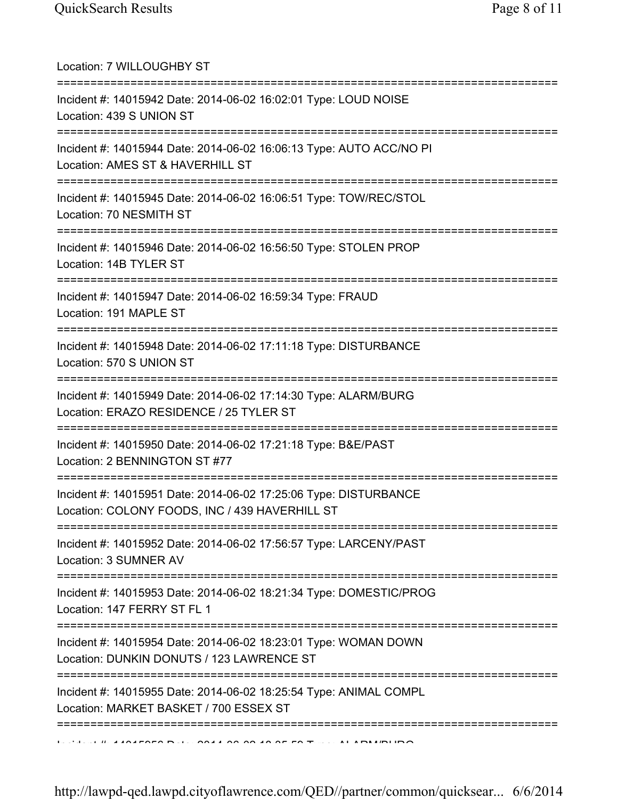| Location: 7 WILLOUGHBY ST                                                                                                              |
|----------------------------------------------------------------------------------------------------------------------------------------|
| Incident #: 14015942 Date: 2014-06-02 16:02:01 Type: LOUD NOISE<br>Location: 439 S UNION ST                                            |
| Incident #: 14015944 Date: 2014-06-02 16:06:13 Type: AUTO ACC/NO PI<br>Location: AMES ST & HAVERHILL ST                                |
| Incident #: 14015945 Date: 2014-06-02 16:06:51 Type: TOW/REC/STOL<br>Location: 70 NESMITH ST                                           |
| Incident #: 14015946 Date: 2014-06-02 16:56:50 Type: STOLEN PROP<br>Location: 14B TYLER ST                                             |
| Incident #: 14015947 Date: 2014-06-02 16:59:34 Type: FRAUD<br>Location: 191 MAPLE ST                                                   |
| Incident #: 14015948 Date: 2014-06-02 17:11:18 Type: DISTURBANCE<br>Location: 570 S UNION ST                                           |
| Incident #: 14015949 Date: 2014-06-02 17:14:30 Type: ALARM/BURG<br>Location: ERAZO RESIDENCE / 25 TYLER ST                             |
| Incident #: 14015950 Date: 2014-06-02 17:21:18 Type: B&E/PAST<br>Location: 2 BENNINGTON ST #77                                         |
| Incident #: 14015951 Date: 2014-06-02 17:25:06 Type: DISTURBANCE<br>Location: COLONY FOODS, INC / 439 HAVERHILL ST                     |
| Incident #: 14015952 Date: 2014-06-02 17:56:57 Type: LARCENY/PAST<br>Location: 3 SUMNER AV                                             |
| :================================<br>Incident #: 14015953 Date: 2014-06-02 18:21:34 Type: DOMESTIC/PROG<br>Location: 147 FERRY ST FL 1 |
| Incident #: 14015954 Date: 2014-06-02 18:23:01 Type: WOMAN DOWN<br>Location: DUNKIN DONUTS / 123 LAWRENCE ST                           |
| Incident #: 14015955 Date: 2014-06-02 18:25:54 Type: ANIMAL COMPL<br>Location: MARKET BASKET / 700 ESSEX ST                            |
|                                                                                                                                        |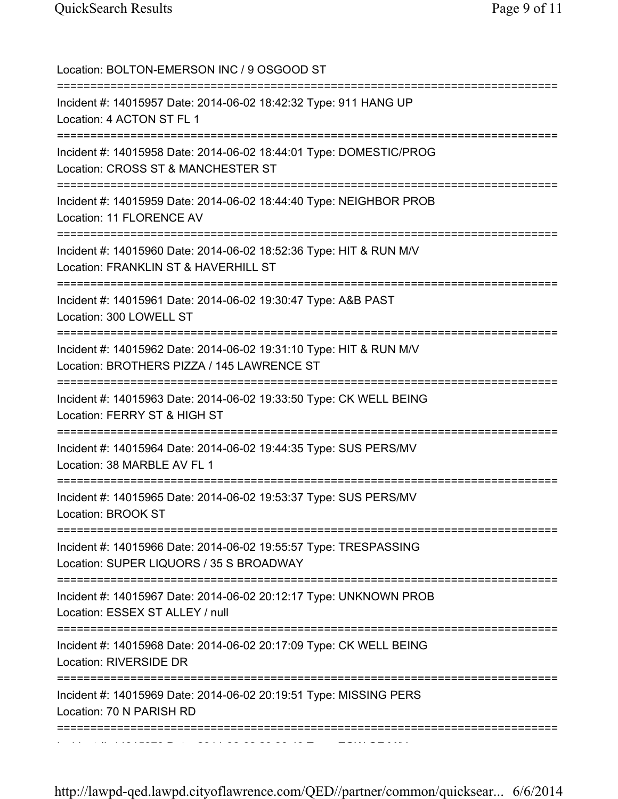| Location: BOLTON-EMERSON INC / 9 OSGOOD ST                                                                                             |
|----------------------------------------------------------------------------------------------------------------------------------------|
| Incident #: 14015957 Date: 2014-06-02 18:42:32 Type: 911 HANG UP<br>Location: 4 ACTON ST FL 1                                          |
| Incident #: 14015958 Date: 2014-06-02 18:44:01 Type: DOMESTIC/PROG<br>Location: CROSS ST & MANCHESTER ST                               |
| Incident #: 14015959 Date: 2014-06-02 18:44:40 Type: NEIGHBOR PROB<br>Location: 11 FLORENCE AV                                         |
| Incident #: 14015960 Date: 2014-06-02 18:52:36 Type: HIT & RUN M/V<br>Location: FRANKLIN ST & HAVERHILL ST<br>======================== |
| Incident #: 14015961 Date: 2014-06-02 19:30:47 Type: A&B PAST<br>Location: 300 LOWELL ST                                               |
| Incident #: 14015962 Date: 2014-06-02 19:31:10 Type: HIT & RUN M/V<br>Location: BROTHERS PIZZA / 145 LAWRENCE ST                       |
| Incident #: 14015963 Date: 2014-06-02 19:33:50 Type: CK WELL BEING<br>Location: FERRY ST & HIGH ST                                     |
| Incident #: 14015964 Date: 2014-06-02 19:44:35 Type: SUS PERS/MV<br>Location: 38 MARBLE AV FL 1                                        |
| Incident #: 14015965 Date: 2014-06-02 19:53:37 Type: SUS PERS/MV<br>Location: BROOK ST                                                 |
| Incident #: 14015966 Date: 2014-06-02 19:55:57 Type: TRESPASSING<br>Location: SUPER LIQUORS / 35 S BROADWAY                            |
| Incident #: 14015967 Date: 2014-06-02 20:12:17 Type: UNKNOWN PROB<br>Location: ESSEX ST ALLEY / null                                   |
| Incident #: 14015968 Date: 2014-06-02 20:17:09 Type: CK WELL BEING<br>Location: RIVERSIDE DR                                           |
| Incident #: 14015969 Date: 2014-06-02 20:19:51 Type: MISSING PERS<br>Location: 70 N PARISH RD                                          |
|                                                                                                                                        |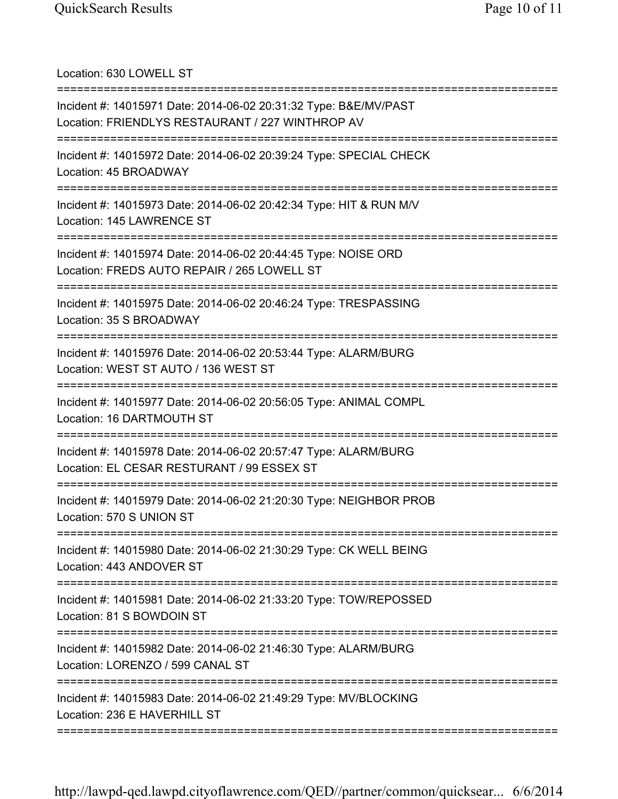Location: 630 LOWELL ST =========================================================================== Incident #: 14015971 Date: 2014-06-02 20:31:32 Type: B&E/MV/PAST Location: FRIENDLYS RESTAURANT / 227 WINTHROP AV =========================================================================== Incident #: 14015972 Date: 2014-06-02 20:39:24 Type: SPECIAL CHECK Location: 45 BROADWAY =========================================================================== Incident #: 14015973 Date: 2014-06-02 20:42:34 Type: HIT & RUN M/V Location: 145 LAWRENCE ST =========================================================================== Incident #: 14015974 Date: 2014-06-02 20:44:45 Type: NOISE ORD Location: FREDS AUTO REPAIR / 265 LOWELL ST =========================================================================== Incident #: 14015975 Date: 2014-06-02 20:46:24 Type: TRESPASSING Location: 35 S BROADWAY =========================================================================== Incident #: 14015976 Date: 2014-06-02 20:53:44 Type: ALARM/BURG Location: WEST ST AUTO / 136 WEST ST =========================================================================== Incident #: 14015977 Date: 2014-06-02 20:56:05 Type: ANIMAL COMPL Location: 16 DARTMOUTH ST =========================================================================== Incident #: 14015978 Date: 2014-06-02 20:57:47 Type: ALARM/BURG Location: EL CESAR RESTURANT / 99 ESSEX ST =========================================================================== Incident #: 14015979 Date: 2014-06-02 21:20:30 Type: NEIGHBOR PROB Location: 570 S UNION ST =========================================================================== Incident #: 14015980 Date: 2014-06-02 21:30:29 Type: CK WELL BEING Location: 443 ANDOVER ST =========================================================================== Incident #: 14015981 Date: 2014-06-02 21:33:20 Type: TOW/REPOSSED Location: 81 S BOWDOIN ST =========================================================================== Incident #: 14015982 Date: 2014-06-02 21:46:30 Type: ALARM/BURG Location: LORENZO / 599 CANAL ST =========================================================================== Incident #: 14015983 Date: 2014-06-02 21:49:29 Type: MV/BLOCKING Location: 236 E HAVERHILL ST ===========================================================================